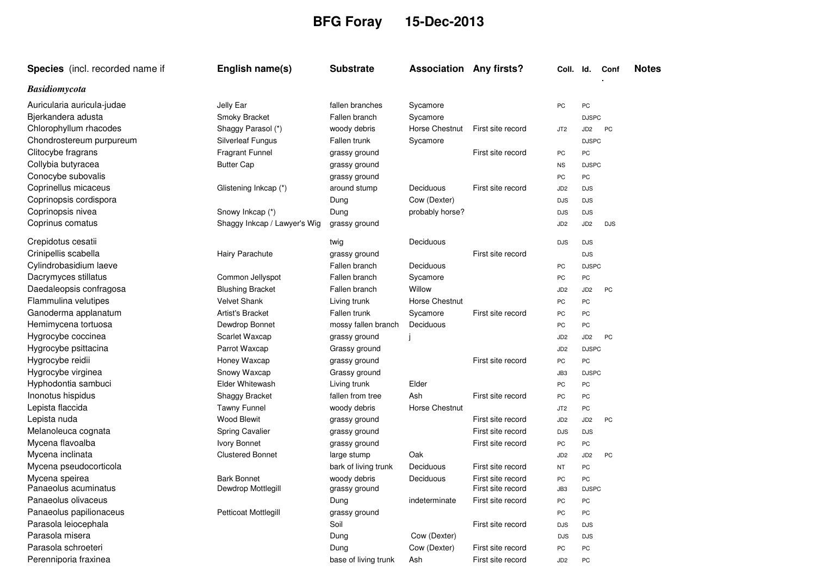## **BFG Foray 15-Dec-2013**

| Species (incl. recorded name if | English name(s)              | <b>Substrate</b>     | <b>Association Any firsts?</b> |                   | Coll. Id.       |                 | Conf       | <b>Notes</b> |
|---------------------------------|------------------------------|----------------------|--------------------------------|-------------------|-----------------|-----------------|------------|--------------|
| <b>Basidiomycota</b>            |                              |                      |                                |                   |                 |                 |            |              |
| Auricularia auricula-judae      | Jelly Ear                    | fallen branches      | Sycamore                       |                   | PC              | PC              |            |              |
| Bjerkandera adusta              | Smoky Bracket                | Fallen branch        | Sycamore                       |                   |                 | <b>DJSPC</b>    |            |              |
| Chlorophyllum rhacodes          | Shaggy Parasol (*)           | woody debris         | Horse Chestnut                 | First site record | JT <sub>2</sub> | JD <sub>2</sub> | PC         |              |
| Chondrostereum purpureum        | <b>Silverleaf Fungus</b>     | Fallen trunk         | Sycamore                       |                   |                 | <b>DJSPC</b>    |            |              |
| Clitocybe fragrans              | <b>Fragrant Funnel</b>       | grassy ground        |                                | First site record | PC              | PC              |            |              |
| Collybia butyracea              | <b>Butter Cap</b>            | grassy ground        |                                |                   | <b>NS</b>       | <b>DJSPC</b>    |            |              |
| Conocybe subovalis              |                              | grassy ground        |                                |                   | PC              | PC              |            |              |
| Coprinellus micaceus            | Glistening Inkcap (*)        | around stump         | Deciduous                      | First site record | JD <sub>2</sub> | <b>DJS</b>      |            |              |
| Coprinopsis cordispora          |                              | Dung                 | Cow (Dexter)                   |                   | <b>DJS</b>      | <b>DJS</b>      |            |              |
| Coprinopsis nivea               | Snowy Inkcap (*)             | Dung                 | probably horse?                |                   | <b>DJS</b>      | <b>DJS</b>      |            |              |
| Coprinus comatus                | Shaggy Inkcap / Lawyer's Wig | grassy ground        |                                |                   | JD <sub>2</sub> | JD <sub>2</sub> | <b>DJS</b> |              |
| Crepidotus cesatii              |                              | twig                 | Deciduous                      |                   | <b>DJS</b>      | <b>DJS</b>      |            |              |
| Crinipellis scabella            | Hairy Parachute              | grassy ground        |                                | First site record |                 | <b>DJS</b>      |            |              |
| Cylindrobasidium laeve          |                              | Fallen branch        | Deciduous                      |                   | PC              | <b>DJSPC</b>    |            |              |
| Dacrymyces stillatus            | Common Jellyspot             | Fallen branch        | Sycamore                       |                   | PC              | PC              |            |              |
| Daedaleopsis confragosa         | <b>Blushing Bracket</b>      | Fallen branch        | Willow                         |                   | JD <sub>2</sub> | JD <sub>2</sub> | PC         |              |
| Flammulina velutipes            | <b>Velvet Shank</b>          | Living trunk         | <b>Horse Chestnut</b>          |                   | PC              | PC              |            |              |
| Ganoderma applanatum            | Artist's Bracket             | Fallen trunk         | Sycamore                       | First site record | PC              | PC              |            |              |
| Hemimycena tortuosa             | Dewdrop Bonnet               | mossy fallen branch  | Deciduous                      |                   | PC              | PC              |            |              |
| Hygrocybe coccinea              | Scarlet Waxcap               | grassy ground        |                                |                   | JD <sub>2</sub> | JD <sub>2</sub> | PC         |              |
| Hygrocybe psittacina            | Parrot Waxcap                | Grassy ground        |                                |                   | JD <sub>2</sub> | <b>DJSPC</b>    |            |              |
| Hygrocybe reidii                | Honey Waxcap                 | grassy ground        |                                | First site record | PC              | PC              |            |              |
| Hygrocybe virginea              | Snowy Waxcap                 | Grassy ground        |                                |                   | JB3             | <b>DJSPC</b>    |            |              |
| Hyphodontia sambuci             | Elder Whitewash              | Living trunk         | Elder                          |                   | PC              | PC              |            |              |
| Inonotus hispidus               | Shaggy Bracket               | fallen from tree     | Ash                            | First site record | PC              | PC              |            |              |
| Lepista flaccida                | <b>Tawny Funnel</b>          | woody debris         | Horse Chestnut                 |                   | JT2             | PC              |            |              |
| Lepista nuda                    | <b>Wood Blewit</b>           | grassy ground        |                                | First site record | JD <sub>2</sub> | JD <sub>2</sub> | PC         |              |
| Melanoleuca cognata             | Spring Cavalier              | grassy ground        |                                | First site record | <b>DJS</b>      | <b>DJS</b>      |            |              |
| Mycena flavoalba                | Ivory Bonnet                 | grassy ground        |                                | First site record | PC              | PC              |            |              |
| Mycena inclinata                | <b>Clustered Bonnet</b>      | large stump          | Oak                            |                   | JD <sub>2</sub> | JD <sub>2</sub> | PC         |              |
| Mycena pseudocorticola          |                              | bark of living trunk | Deciduous                      | First site record | <b>NT</b>       | PC              |            |              |
| Mycena speirea                  | <b>Bark Bonnet</b>           | woody debris         | Deciduous                      | First site record | PC              | PC              |            |              |
| Panaeolus acuminatus            | Dewdrop Mottlegill           | grassy ground        |                                | First site record | JB <sub>3</sub> | <b>DJSPC</b>    |            |              |
| Panaeolus olivaceus             |                              | Dung                 | indeterminate                  | First site record | PC              | PC              |            |              |
| Panaeolus papilionaceus         | Petticoat Mottlegill         | grassy ground        |                                |                   | PC              | PC              |            |              |
| Parasola leiocephala            |                              | Soil                 |                                | First site record | <b>DJS</b>      | <b>DJS</b>      |            |              |
| Parasola misera                 |                              | Dung                 | Cow (Dexter)                   |                   | <b>DJS</b>      | <b>DJS</b>      |            |              |
| Parasola schroeteri             |                              | Dung                 | Cow (Dexter)                   | First site record | PC              | PC              |            |              |
| Perenniporia fraxinea           |                              | base of living trunk | Ash                            | First site record | JD <sub>2</sub> | PC              |            |              |